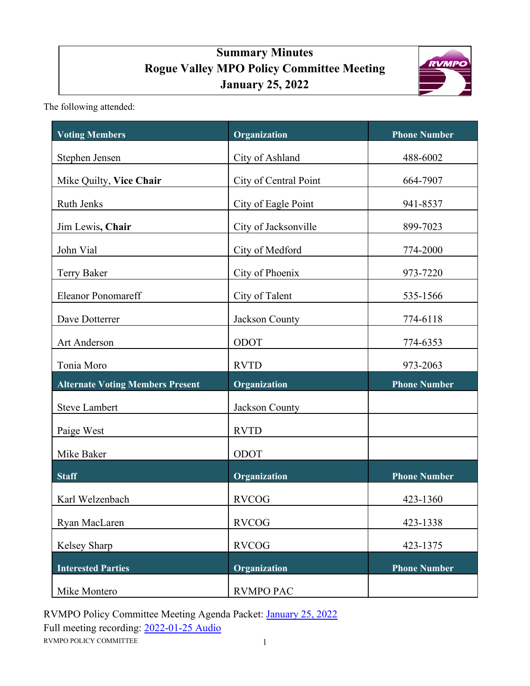# **Summary Minutes Rogue Valley MPO Policy Committee Meeting January 25, 2022**



The following attended:

| <b>Voting Members</b>                   | Organization          | <b>Phone Number</b> |
|-----------------------------------------|-----------------------|---------------------|
| Stephen Jensen                          | City of Ashland       | 488-6002            |
| Mike Quilty, Vice Chair                 | City of Central Point | 664-7907            |
| <b>Ruth Jenks</b>                       | City of Eagle Point   | 941-8537            |
| Jim Lewis, Chair                        | City of Jacksonville  | 899-7023            |
| John Vial                               | City of Medford       | 774-2000            |
| Terry Baker                             | City of Phoenix       | 973-7220            |
| <b>Eleanor Ponomareff</b>               | City of Talent        | 535-1566            |
| Dave Dotterrer                          | Jackson County        | 774-6118            |
| Art Anderson                            | ODOT                  | 774-6353            |
| Tonia Moro                              | <b>RVTD</b>           | 973-2063            |
| <b>Alternate Voting Members Present</b> | Organization          | <b>Phone Number</b> |
| <b>Steve Lambert</b>                    | Jackson County        |                     |
| Paige West                              | <b>RVTD</b>           |                     |
| Mike Baker                              | ODOT                  |                     |
| <b>Staff</b>                            | Organization          | <b>Phone Number</b> |
| Karl Welzenbach                         | <b>RVCOG</b>          | 423-1360            |
| Ryan MacLaren                           | <b>RVCOG</b>          | 423-1338            |
| Kelsey Sharp                            | <b>RVCOG</b>          | 423-1375            |
| <b>Interested Parties</b>               | <b>Organization</b>   | <b>Phone Number</b> |
| Mike Montero                            | <b>RVMPO PAC</b>      |                     |

RVMPO POLICY COMMITTEE 1 RVMPO Policy Committee Meeting Agenda Packet: [January 25, 2022](https://rvmpo.org/wp-content/uploads/2019/09/RVMPO-PolComm-Agenda-01-25-2022.pdf) Full meeting recording: [2022-01-25 Audio](https://rvmpo.org/wp-content/uploads/2019/09/RVMPO-PolComm-Audio-01-25-2022.mp3)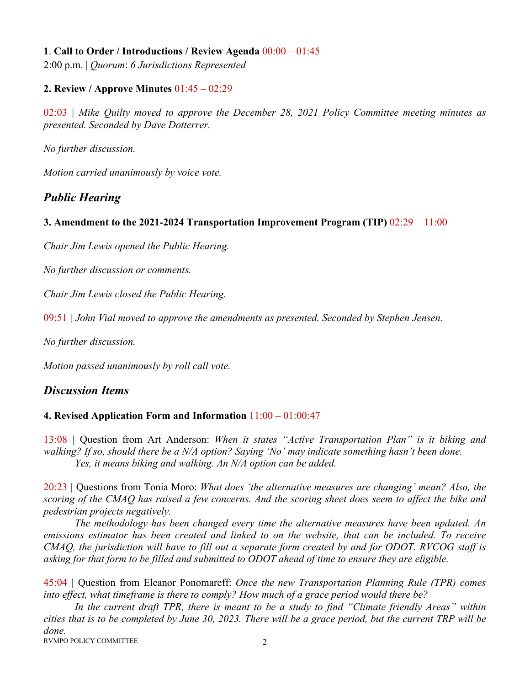#### **1**. **Call to Order / Introductions / Review Agenda** 00:00 – 01:45

2:00 p.m. | *Quorum*: *6 Jurisdictions Represented*

#### **2. Review / Approve Minutes** 01:45 – 02:29

02:03 *| Mike Quilty moved to approve the December 28, 2021 Policy Committee meeting minutes as presented. Seconded by Dave Dotterrer.* 

*No further discussion.* 

*Motion carried unanimously by voice vote.*

# *Public Hearing*

#### **3. Amendment to the 2021-2024 Transportation Improvement Program (TIP)** 02:29 – 11:00

*Chair Jim Lewis opened the Public Hearing.*

*No further discussion or comments.*

*Chair Jim Lewis closed the Public Hearing.*

09:51 *| John Vial moved to approve the amendments as presented. Seconded by Stephen Jensen.* 

*No further discussion.*

*Motion passed unanimously by roll call vote.*

## *Discussion Items*

#### **4. Revised Application Form and Information** 11:00 – 01:00:47

13:08 *|* Question from Art Anderson: *When it states "Active Transportation Plan" is it biking and walking? If so, should there be a N/A option? Saying 'No' may indicate something hasn't been done. Yes, it means biking and walking. An N/A option can be added.* 

20:23 *|* Questions from Tonia Moro: *What does 'the alternative measures are changing' mean? Also, the scoring of the CMAQ has raised a few concerns. And the scoring sheet does seem to affect the bike and pedestrian projects negatively.*

*The methodology has been changed every time the alternative measures have been updated. An emissions estimator has been created and linked to on the website, that can be included. To receive CMAQ, the jurisdiction will have to fill out a separate form created by and for ODOT. RVCOG staff is asking for that form to be filled and submitted to ODOT ahead of time to ensure they are eligible.* 

45:04 *|* Question from Eleanor Ponomareff: *Once the new Transportation Planning Rule (TPR) comes into effect, what timeframe is there to comply? How much of a grace period would there be?*

*In the current draft TPR, there is meant to be a study to find "Climate friendly Areas" within cities that is to be completed by June 30, 2023. There will be a grace period, but the current TRP will be done.* 

RVMPO POLICY COMMITTEE 2